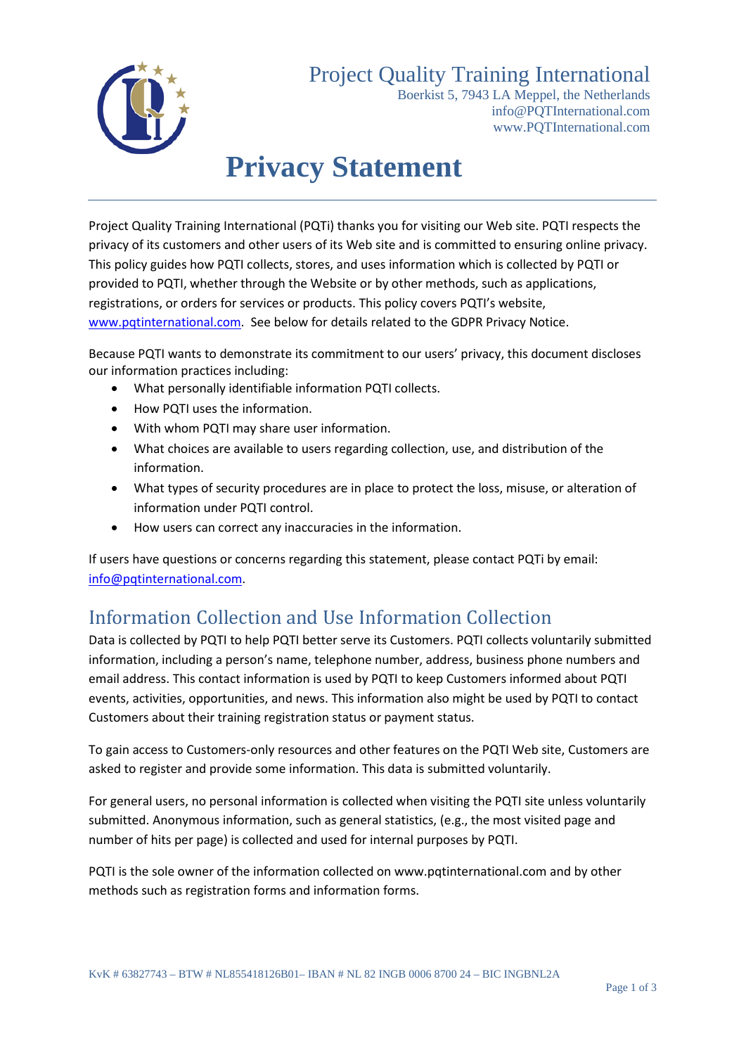

## Project Quality Training International

Boerkist 5, 7943 LA Meppel, the Netherlands [info@PQTInternational.com](mailto:info@PQTInternational.com) [www.PQTInternational.com](http://www.pqtinternational.com/)

# **Privacy Statement**

Project Quality Training International (PQTi) thanks you for visiting our Web site. PQTI respects the privacy of its customers and other users of its Web site and is committed to ensuring online privacy. This policy guides how PQTI collects, stores, and uses information which is collected by PQTI or provided to PQTI, whether through the Website or by other methods, such as applications, registrations, or orders for services or products. This policy covers PQTI's website, [www.pqtinternational.com.](http://www.pqtinternational.com/) See below for details related to the GDPR Privacy Notice.

Because PQTI wants to demonstrate its commitment to our users' privacy, this document discloses our information practices including:

- What personally identifiable information PQTI collects.
- How PQTI uses the information.
- With whom PQTI may share user information.
- What choices are available to users regarding collection, use, and distribution of the information.
- What types of security procedures are in place to protect the loss, misuse, or alteration of information under PQTI control.
- How users can correct any inaccuracies in the information.

If users have questions or concerns regarding this statement, please contact PQTi by email: [info@pqtinternational.com.](mailto:info@pqtinternational.com)

### Information Collection and Use Information Collection

Data is collected by PQTI to help PQTI better serve its Customers. PQTI collects voluntarily submitted information, including a person's name, telephone number, address, business phone numbers and email address. This contact information is used by PQTI to keep Customers informed about PQTI events, activities, opportunities, and news. This information also might be used by PQTI to contact Customers about their training registration status or payment status.

To gain access to Customers-only resources and other features on the PQTI Web site, Customers are asked to register and provide some information. This data is submitted voluntarily.

For general users, no personal information is collected when visiting the PQTI site unless voluntarily submitted. Anonymous information, such as general statistics, (e.g., the most visited page and number of hits per page) is collected and used for internal purposes by PQTI.

PQTI is the sole owner of the information collected on www.pqtinternational.com and by other methods such as registration forms and information forms.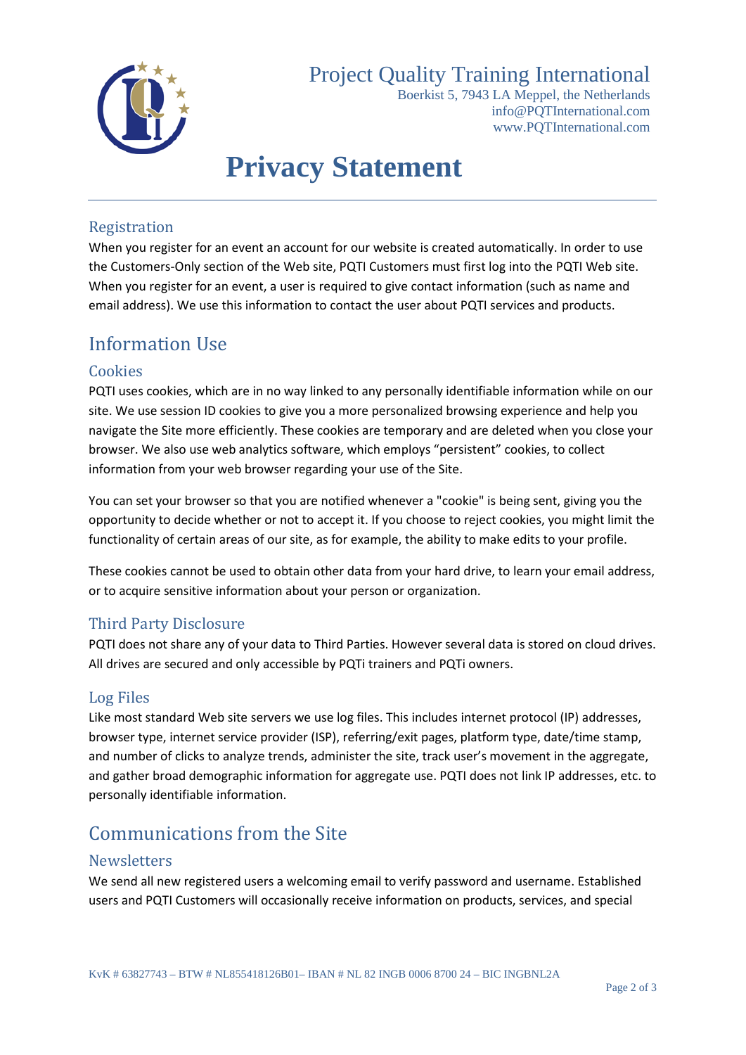

## Project Quality Training International

Boerkist 5, 7943 LA Meppel, the Netherlands [info@PQTInternational.com](mailto:info@PQTInternational.com) [www.PQTInternational.com](http://www.pqtinternational.com/)

# **Privacy Statement**

#### Registration

When you register for an event an account for our website is created automatically. In order to use the Customers-Only section of the Web site, PQTI Customers must first log into the PQTI Web site. When you register for an event, a user is required to give contact information (such as name and email address). We use this information to contact the user about PQTI services and products.

### Information Use

#### Cookies

PQTI uses cookies, which are in no way linked to any personally identifiable information while on our site. We use session ID cookies to give you a more personalized browsing experience and help you navigate the Site more efficiently. These cookies are temporary and are deleted when you close your browser. We also use web analytics software, which employs "persistent" cookies, to collect information from your web browser regarding your use of the Site.

You can set your browser so that you are notified whenever a "cookie" is being sent, giving you the opportunity to decide whether or not to accept it. If you choose to reject cookies, you might limit the functionality of certain areas of our site, as for example, the ability to make edits to your profile.

These cookies cannot be used to obtain other data from your hard drive, to learn your email address, or to acquire sensitive information about your person or organization.

#### Third Party Disclosure

PQTI does not share any of your data to Third Parties. However several data is stored on cloud drives. All drives are secured and only accessible by PQTi trainers and PQTi owners.

#### Log Files

Like most standard Web site servers we use log files. This includes internet protocol (IP) addresses, browser type, internet service provider (ISP), referring/exit pages, platform type, date/time stamp, and number of clicks to analyze trends, administer the site, track user's movement in the aggregate, and gather broad demographic information for aggregate use. PQTI does not link IP addresses, etc. to personally identifiable information.

### Communications from the Site

#### **Newsletters**

We send all new registered users a welcoming email to verify password and username. Established users and PQTI Customers will occasionally receive information on products, services, and special